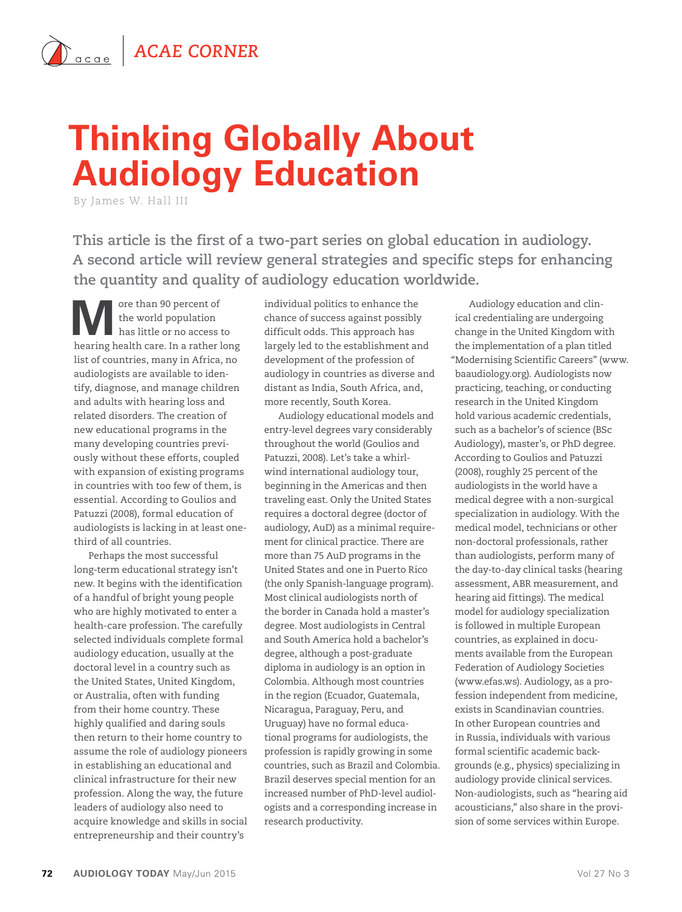## **Thinking Globally About Audiology Education**

By James W. Hall III

**This article is the first of a two-part series on global education in audiology. A second article will review general strategies and specific steps for enhancing the quantity and quality of audiology education worldwide.**

**M** ore than 90 percent of<br>the world population<br>has little or no access to the world population hearing health care. In a rather long list of countries, many in Africa, no audiologists are available to identify, diagnose, and manage children and adults with hearing loss and related disorders. The creation of new educational programs in the many developing countries previously without these efforts, coupled with expansion of existing programs in countries with too few of them, is essential. According to Goulios and Patuzzi (2008), formal education of audiologists is lacking in at least onethird of all countries.

Perhaps the most successful long-term educational strategy isn't new. It begins with the identification of a handful of bright young people who are highly motivated to enter a health-care profession. The carefully selected individuals complete formal audiology education, usually at the doctoral level in a country such as the United States, United Kingdom, or Australia, often with funding from their home country. These highly qualified and daring souls then return to their home country to assume the role of audiology pioneers in establishing an educational and clinical infrastructure for their new profession. Along the way, the future leaders of audiology also need to acquire knowledge and skills in social entrepreneurship and their country's

individual politics to enhance the chance of success against possibly difficult odds. This approach has largely led to the establishment and development of the profession of audiology in countries as diverse and distant as India, South Africa, and, more recently, South Korea.

Audiology educational models and entry-level degrees vary considerably throughout the world (Goulios and Patuzzi, 2008). Let's take a whirlwind international audiology tour, beginning in the Americas and then traveling east. Only the United States requires a doctoral degree (doctor of audiology, AuD) as a minimal requirement for clinical practice. There are more than 75 AuD programs in the United States and one in Puerto Rico (the only Spanish-language program). Most clinical audiologists north of the border in Canada hold a master's degree. Most audiologists in Central and South America hold a bachelor's degree, although a post-graduate diploma in audiology is an option in Colombia. Although most countries in the region (Ecuador, Guatemala, Nicaragua, Paraguay, Peru, and Uruguay) have no formal educational programs for audiologists, the profession is rapidly growing in some countries, such as Brazil and Colombia. Brazil deserves special mention for an increased number of PhD-level audiologists and a corresponding increase in research productivity.

Audiology education and clinical credentialing are undergoing change in the United Kingdom with the implementation of a plan titled "Modernising Scientific Careers" (www. baaudiology.org). Audiologists now practicing, teaching, or conducting research in the United Kingdom hold various academic credentials, such as a bachelor's of science (BSc Audiology), master's, or PhD degree. According to Goulios and Patuzzi (2008), roughly 25 percent of the audiologists in the world have a medical degree with a non-surgical specialization in audiology. With the medical model, technicians or other non-doctoral professionals, rather than audiologists, perform many of the day-to-day clinical tasks (hearing assessment, ABR measurement, and hearing aid fittings). The medical model for audiology specialization is followed in multiple European countries, as explained in documents available from the European Federation of Audiology Societies (www.efas.ws). Audiology, as a profession independent from medicine, exists in Scandinavian countries. In other European countries and in Russia, individuals with various formal scientific academic backgrounds (e.g., physics) specializing in audiology provide clinical services. Non-audiologists, such as "hearing aid acousticians," also share in the provision of some services within Europe.